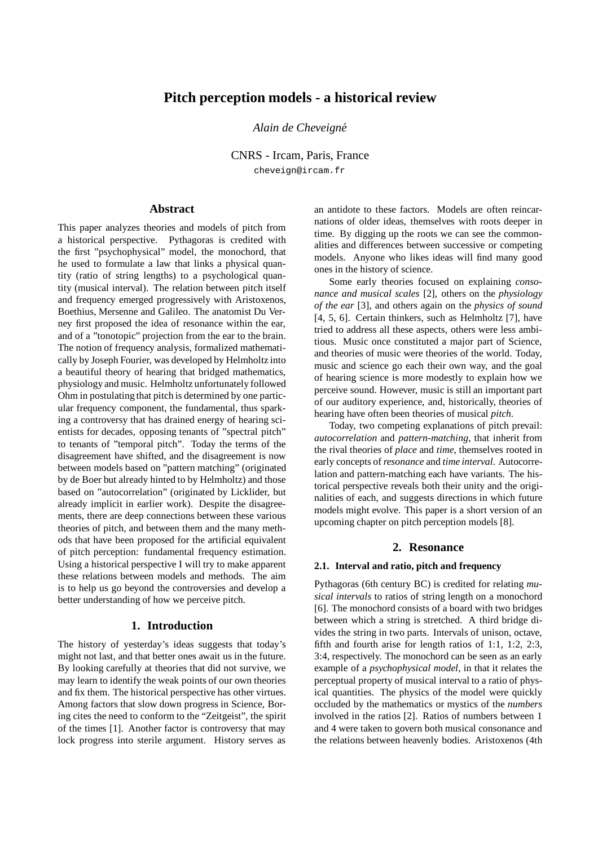# **Pitch perception models - a historical review**

*Alain de Cheveign´e*

CNRS - Ircam, Paris, France cheveign@ircam.fr

### **Abstract**

This paper analyzes theories and models of pitch from a historical perspective. Pythagoras is credited with the first "psychophysical" model, the monochord, that he used to formulate a law that links a physical quantity (ratio of string lengths) to a psychological quantity (musical interval). The relation between pitch itself and frequency emerged progressively with Aristoxenos, Boethius, Mersenne and Galileo. The anatomist Du Verney first proposed the idea of resonance within the ear, and of a "tonotopic" projection from the ear to the brain. The notion of frequency analysis, formalized mathematically by Joseph Fourier, was developed by Helmholtz into a beautiful theory of hearing that bridged mathematics, physiology and music. Helmholtz unfortunately followed Ohm in postulating that pitch is determined by one particular frequency component, the fundamental, thus sparking a controversy that has drained energy of hearing scientists for decades, opposing tenants of "spectral pitch" to tenants of "temporal pitch". Today the terms of the disagreement have shifted, and the disagreement is now between models based on "pattern matching" (originated by de Boer but already hinted to by Helmholtz) and those based on "autocorrelation" (originated by Licklider, but already implicit in earlier work). Despite the disagreements, there are deep connections between these various theories of pitch, and between them and the many methods that have been proposed for the artificial equivalent of pitch perception: fundamental frequency estimation. Using a historical perspective I will try to make apparent these relations between models and methods. The aim is to help us go beyond the controversies and develop a better understanding of how we perceive pitch.

### **1. Introduction**

The history of yesterday's ideas suggests that today's might not last, and that better ones await us in the future. By looking carefully at theories that did not survive, we may learn to identify the weak points of our own theories and fix them. The historical perspective has other virtues. Among factors that slow down progress in Science, Boring cites the need to conform to the "Zeitgeist", the spirit of the times [1]. Another factor is controversy that may lock progress into sterile argument. History serves as an antidote to these factors. Models are often reincarnations of older ideas, themselves with roots deeper in time. By digging up the roots we can see the commonalities and differences between successive or competing models. Anyone who likes ideas will find many good ones in the history of science.

Some early theories focused on explaining *consonance and musical scales* [2], others on the *physiology of the ear* [3], and others again on the *physics of sound* [4, 5, 6]. Certain thinkers, such as Helmholtz [7], have tried to address all these aspects, others were less ambitious. Music once constituted a major part of Science, and theories of music were theories of the world. Today, music and science go each their own way, and the goal of hearing science is more modestly to explain how we perceive sound. However, music is still an important part of our auditory experience, and, historically, theories of hearing have often been theories of musical *pitch*.

Today, two competing explanations of pitch prevail: *autocorrelation* and *pattern-matching*, that inherit from the rival theories of *place* and *time*, themselves rooted in early concepts of *resonance* and *time interval*. Autocorrelation and pattern-matching each have variants. The historical perspective reveals both their unity and the originalities of each, and suggests directions in which future models might evolve. This paper is a short version of an upcoming chapter on pitch perception models [8].

## **2. Resonance**

#### **2.1. Interval and ratio, pitch and frequency**

Pythagoras (6th century BC) is credited for relating *musical intervals* to ratios of string length on a monochord [6]. The monochord consists of a board with two bridges between which a string is stretched. A third bridge divides the string in two parts. Intervals of unison, octave, fifth and fourth arise for length ratios of 1:1, 1:2, 2:3, 3:4, respectively. The monochord can be seen as an early example of a *psychophysical model*, in that it relates the perceptual property of musical interval to a ratio of physical quantities. The physics of the model were quickly occluded by the mathematics or mystics of the *numbers* involved in the ratios [2]. Ratios of numbers between 1 and 4 were taken to govern both musical consonance and the relations between heavenly bodies. Aristoxenos (4th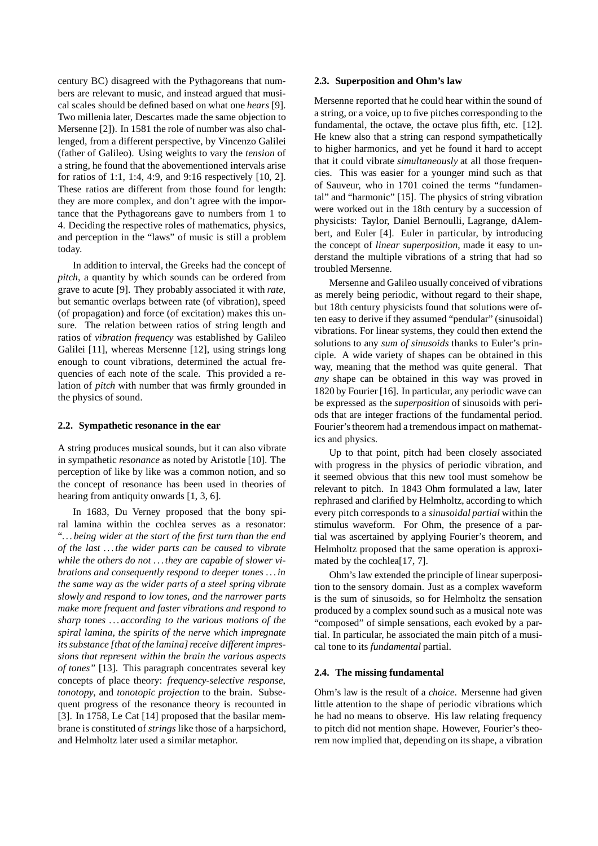century BC) disagreed with the Pythagoreans that numbers are relevant to music, and instead argued that musical scales should be defined based on what one *hears* [9]. Two millenia later, Descartes made the same objection to Mersenne [2]). In 1581 the role of number was also challenged, from a different perspective, by Vincenzo Galilei (father of Galileo). Using weights to vary the *tension* of a string, he found that the abovementioned intervals arise for ratios of 1:1, 1:4, 4:9, and 9:16 respectively [10, 2]. These ratios are different from those found for length: they are more complex, and don't agree with the importance that the Pythagoreans gave to numbers from 1 to 4. Deciding the respective roles of mathematics, physics, and perception in the "laws" of music is still a problem today.

In addition to interval, the Greeks had the concept of *pitch*, a quantity by which sounds can be ordered from grave to acute [9]. They probably associated it with *rate*, but semantic overlaps between rate (of vibration), speed (of propagation) and force (of excitation) makes this unsure. The relation between ratios of string length and ratios of *vibration frequency* was established by Galileo Galilei [11], whereas Mersenne [12], using strings long enough to count vibrations, determined the actual frequencies of each note of the scale. This provided a relation of *pitch* with number that was firmly grounded in the physics of sound.

#### **2.2. Sympathetic resonance in the ear**

A string produces musical sounds, but it can also vibrate in sympathetic *resonance* as noted by Aristotle [10]. The perception of like by like was a common notion, and so the concept of resonance has been used in theories of hearing from antiquity onwards [1, 3, 6].

In 1683, Du Verney proposed that the bony spiral lamina within the cochlea serves as a resonator: "*. . . being wider at the start of the first turn than the end of the last . . . the wider parts can be caused to vibrate while the others do not . . . they are capable of slower vibrations and consequently respond to deeper tones . . . in the same way as the wider parts of a steel spring vibrate slowly and respond to low tones, and the narrower parts make more frequent and faster vibrations and respond to sharp tones . . . according to the various motions of the spiral lamina, the spirits of the nerve which impregnate its substance [that of the lamina] receive different impressions that represent within the brain the various aspects of tones"* [13]. This paragraph concentrates several key concepts of place theory: *frequency-selective response*, *tonotopy*, and *tonotopic projection* to the brain. Subsequent progress of the resonance theory is recounted in [3]. In 1758, Le Cat [14] proposed that the basilar membrane is constituted of *strings* like those of a harpsichord, and Helmholtz later used a similar metaphor.

### **2.3. Superposition and Ohm's law**

Mersenne reported that he could hear within the sound of a string, or a voice, up to five pitches corresponding to the fundamental, the octave, the octave plus fifth, etc. [12]. He knew also that a string can respond sympathetically to higher harmonics, and yet he found it hard to accept that it could vibrate *simultaneously* at all those frequencies. This was easier for a younger mind such as that of Sauveur, who in 1701 coined the terms "fundamental" and "harmonic" [15]. The physics of string vibration were worked out in the 18th century by a succession of physicists: Taylor, Daniel Bernoulli, Lagrange, dAlembert, and Euler [4]. Euler in particular, by introducing the concept of *linear superposition*, made it easy to understand the multiple vibrations of a string that had so troubled Mersenne.

Mersenne and Galileo usually conceived of vibrations as merely being periodic, without regard to their shape, but 18th century physicists found that solutions were often easy to derive if they assumed "pendular" (sinusoidal) vibrations. For linear systems, they could then extend the solutions to any *sum of sinusoids* thanks to Euler's principle. A wide variety of shapes can be obtained in this way, meaning that the method was quite general. That *any* shape can be obtained in this way was proved in 1820 by Fourier [16]. In particular, any periodic wave can be expressed as the *superposition* of sinusoids with periods that are integer fractions of the fundamental period. Fourier's theorem had a tremendous impact on mathematics and physics.

Up to that point, pitch had been closely associated with progress in the physics of periodic vibration, and it seemed obvious that this new tool must somehow be relevant to pitch. In 1843 Ohm formulated a law, later rephrased and clarified by Helmholtz, according to which every pitch corresponds to a *sinusoidal partial* within the stimulus waveform. For Ohm, the presence of a partial was ascertained by applying Fourier's theorem, and Helmholtz proposed that the same operation is approximated by the cochlea[17, 7].

Ohm's law extended the principle of linear superposition to the sensory domain. Just as a complex waveform is the sum of sinusoids, so for Helmholtz the sensation produced by a complex sound such as a musical note was "composed" of simple sensations, each evoked by a partial. In particular, he associated the main pitch of a musical tone to its *fundamental* partial.

### **2.4. The missing fundamental**

Ohm's law is the result of a *choice*. Mersenne had given little attention to the shape of periodic vibrations which he had no means to observe. His law relating frequency to pitch did not mention shape. However, Fourier's theorem now implied that, depending on its shape, a vibration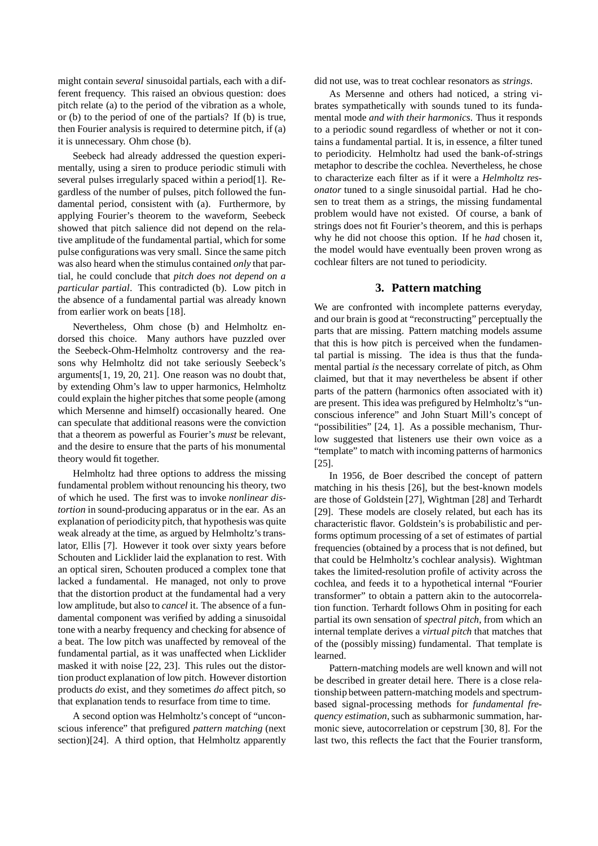might contain *several* sinusoidal partials, each with a different frequency. This raised an obvious question: does pitch relate (a) to the period of the vibration as a whole, or (b) to the period of one of the partials? If (b) is true, then Fourier analysis is required to determine pitch, if (a) it is unnecessary. Ohm chose (b).

Seebeck had already addressed the question experimentally, using a siren to produce periodic stimuli with several pulses irregularly spaced within a period[1]. Regardless of the number of pulses, pitch followed the fundamental period, consistent with (a). Furthermore, by applying Fourier's theorem to the waveform, Seebeck showed that pitch salience did not depend on the relative amplitude of the fundamental partial, which for some pulse configurations was very small. Since the same pitch was also heard when the stimulus contained *only* that partial, he could conclude that *pitch does not depend on a particular partial*. This contradicted (b). Low pitch in the absence of a fundamental partial was already known from earlier work on beats [18].

Nevertheless, Ohm chose (b) and Helmholtz endorsed this choice. Many authors have puzzled over the Seebeck-Ohm-Helmholtz controversy and the reasons why Helmholtz did not take seriously Seebeck's arguments[1, 19, 20, 21]. One reason was no doubt that, by extending Ohm's law to upper harmonics, Helmholtz could explain the higher pitches that some people (among which Mersenne and himself) occasionally heared. One can speculate that additional reasons were the conviction that a theorem as powerful as Fourier's *must* be relevant, and the desire to ensure that the parts of his monumental theory would fit together.

Helmholtz had three options to address the missing fundamental problem without renouncing his theory, two of which he used. The first was to invoke *nonlinear distortion* in sound-producing apparatus or in the ear. As an explanation of periodicity pitch, that hypothesis was quite weak already at the time, as argued by Helmholtz's translator, Ellis [7]. However it took over sixty years before Schouten and Licklider laid the explanation to rest. With an optical siren, Schouten produced a complex tone that lacked a fundamental. He managed, not only to prove that the distortion product at the fundamental had a very low amplitude, but also to *cancel* it. The absence of a fundamental component was verified by adding a sinusoidal tone with a nearby frequency and checking for absence of a beat. The low pitch was unaffected by removeal of the fundamental partial, as it was unaffected when Licklider masked it with noise [22, 23]. This rules out the distortion product explanation of low pitch. However distortion products *do* exist, and they sometimes *do* affect pitch, so that explanation tends to resurface from time to time.

A second option was Helmholtz's concept of "unconscious inference" that prefigured *pattern matching* (next section)[24]. A third option, that Helmholtz apparently did not use, was to treat cochlear resonators as *strings*.

As Mersenne and others had noticed, a string vibrates sympathetically with sounds tuned to its fundamental mode *and with their harmonics*. Thus it responds to a periodic sound regardless of whether or not it contains a fundamental partial. It is, in essence, a filter tuned to periodicity. Helmholtz had used the bank-of-strings metaphor to describe the cochlea. Nevertheless, he chose to characterize each filter as if it were a *Helmholtz resonator* tuned to a single sinusoidal partial. Had he chosen to treat them as a strings, the missing fundamental problem would have not existed. Of course, a bank of strings does not fit Fourier's theorem, and this is perhaps why he did not choose this option. If he *had* chosen it, the model would have eventually been proven wrong as cochlear filters are not tuned to periodicity.

### **3. Pattern matching**

We are confronted with incomplete patterns everyday, and our brain is good at "reconstructing" perceptually the parts that are missing. Pattern matching models assume that this is how pitch is perceived when the fundamental partial is missing. The idea is thus that the fundamental partial *is* the necessary correlate of pitch, as Ohm claimed, but that it may nevertheless be absent if other parts of the pattern (harmonics often associated with it) are present. This idea was prefigured by Helmholtz's "unconscious inference" and John Stuart Mill's concept of "possibilities" [24, 1]. As a possible mechanism, Thurlow suggested that listeners use their own voice as a "template" to match with incoming patterns of harmonics [25].

In 1956, de Boer described the concept of pattern matching in his thesis [26], but the best-known models are those of Goldstein [27], Wightman [28] and Terhardt [29]. These models are closely related, but each has its characteristic flavor. Goldstein's is probabilistic and performs optimum processing of a set of estimates of partial frequencies (obtained by a process that is not defined, but that could be Helmholtz's cochlear analysis). Wightman takes the limited-resolution profile of activity across the cochlea, and feeds it to a hypothetical internal "Fourier transformer" to obtain a pattern akin to the autocorrelation function. Terhardt follows Ohm in positing for each partial its own sensation of *spectral pitch*, from which an internal template derives a *virtual pitch* that matches that of the (possibly missing) fundamental. That template is learned.

Pattern-matching models are well known and will not be described in greater detail here. There is a close relationship between pattern-matching models and spectrumbased signal-processing methods for *fundamental frequency estimation*, such as subharmonic summation, harmonic sieve, autocorrelation or cepstrum [30, 8]. For the last two, this reflects the fact that the Fourier transform,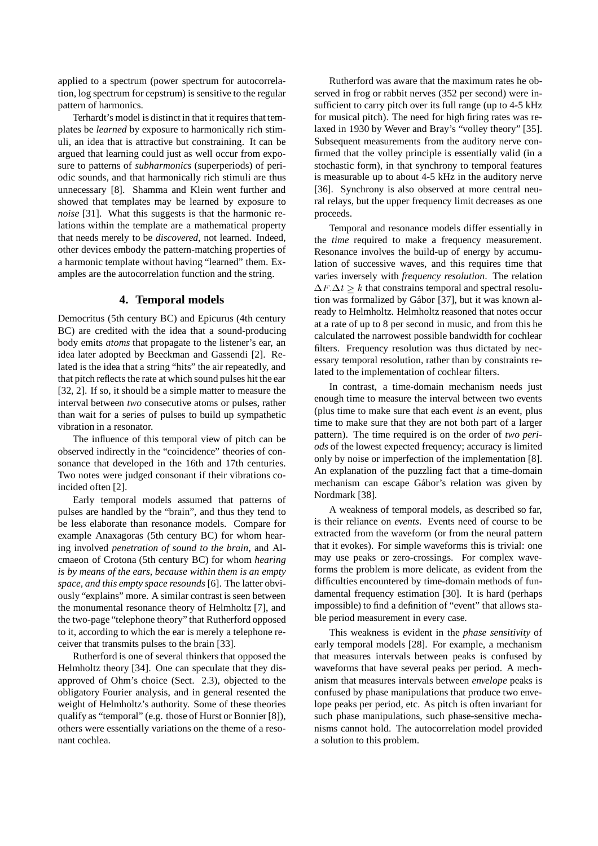applied to a spectrum (power spectrum for autocorrelation, log spectrum for cepstrum) is sensitive to the regular pattern of harmonics.

Terhardt's model is distinct in that it requires that templates be *learned* by exposure to harmonically rich stimuli, an idea that is attractive but constraining. It can be argued that learning could just as well occur from exposure to patterns of *subharmonics* (superperiods) of periodic sounds, and that harmonically rich stimuli are thus unnecessary [8]. Shamma and Klein went further and showed that templates may be learned by exposure to *noise* [31]. What this suggests is that the harmonic relations within the template are a mathematical property that needs merely to be *discovered*, not learned. Indeed, other devices embody the pattern-matching properties of a harmonic template without having "learned" them. Examples are the autocorrelation function and the string.

### **4. Temporal models**

Democritus (5th century BC) and Epicurus (4th century BC) are credited with the idea that a sound-producing body emits *atoms* that propagate to the listener's ear, an idea later adopted by Beeckman and Gassendi [2]. Related is the idea that a string "hits" the air repeatedly, and that pitch reflects the rate at which sound pulses hit the ear [32, 2]. If so, it should be a simple matter to measure the interval between *two* consecutive atoms or pulses, rather than wait for a series of pulses to build up sympathetic vibration in a resonator.

The influence of this temporal view of pitch can be observed indirectly in the "coincidence" theories of consonance that developed in the 16th and 17th centuries. Two notes were judged consonant if their vibrations coincided often [2].

Early temporal models assumed that patterns of pulses are handled by the "brain", and thus they tend to be less elaborate than resonance models. Compare for example Anaxagoras (5th century BC) for whom hearing involved *penetration of sound to the brain*, and Alcmaeon of Crotona (5th century BC) for whom *hearing is by means of the ears, because within them is an empty space, and this empty space resounds* [6]. The latter obviously "explains" more. A similar contrast is seen between the monumental resonance theory of Helmholtz [7], and the two-page "telephone theory" that Rutherford opposed to it, according to which the ear is merely a telephone receiver that transmits pulses to the brain [33].

Rutherford is one of several thinkers that opposed the Helmholtz theory [34]. One can speculate that they disapproved of Ohm's choice (Sect. 2.3), objected to the obligatory Fourier analysis, and in general resented the weight of Helmholtz's authority. Some of these theories qualify as "temporal" (e.g. those of Hurst or Bonnier [8]), others were essentially variations on the theme of a resonant cochlea.

Rutherford was aware that the maximum rates he observed in frog or rabbit nerves (352 per second) were insufficient to carry pitch over its full range (up to 4-5 kHz for musical pitch). The need for high firing rates was relaxed in 1930 by Wever and Bray's "volley theory" [35]. Subsequent measurements from the auditory nerve confirmed that the volley principle is essentially valid (in a stochastic form), in that synchrony to temporal features is measurable up to about 4-5 kHz in the auditory nerve [36]. Synchrony is also observed at more central neural relays, but the upper frequency limit decreases as one proceeds.

Temporal and resonance models differ essentially in the *time* required to make a frequency measurement. Resonance involves the build-up of energy by accumulation of successive waves, and this requires time that varies inversely with *frequency resolution*. The relation  $\Delta F \Delta t \geq k$  that constrains temporal and spectral resolution was formalized by Gábor [37], but it was known already to Helmholtz. Helmholtz reasoned that notes occur at a rate of up to 8 per second in music, and from this he calculated the narrowest possible bandwidth for cochlear filters. Frequency resolution was thus dictated by necessary temporal resolution, rather than by constraints related to the implementation of cochlear filters.

In contrast, a time-domain mechanism needs just enough time to measure the interval between two events (plus time to make sure that each event *is* an event, plus time to make sure that they are not both part of a larger pattern). The time required is on the order of *two periods* of the lowest expected frequency; accuracy is limited only by noise or imperfection of the implementation [8]. An explanation of the puzzling fact that a time-domain mechanism can escape Gábor's relation was given by Nordmark [38].

A weakness of temporal models, as described so far, is their reliance on *events*. Events need of course to be extracted from the waveform (or from the neural pattern that it evokes). For simple waveforms this is trivial: one may use peaks or zero-crossings. For complex waveforms the problem is more delicate, as evident from the difficulties encountered by time-domain methods of fundamental frequency estimation [30]. It is hard (perhaps impossible) to find a definition of "event" that allows stable period measurement in every case.

This weakness is evident in the *phase sensitivity* of early temporal models [28]. For example, a mechanism that measures intervals between peaks is confused by waveforms that have several peaks per period. A mechanism that measures intervals between *envelope* peaks is confused by phase manipulations that produce two envelope peaks per period, etc. As pitch is often invariant for such phase manipulations, such phase-sensitive mechanisms cannot hold. The autocorrelation model provided a solution to this problem.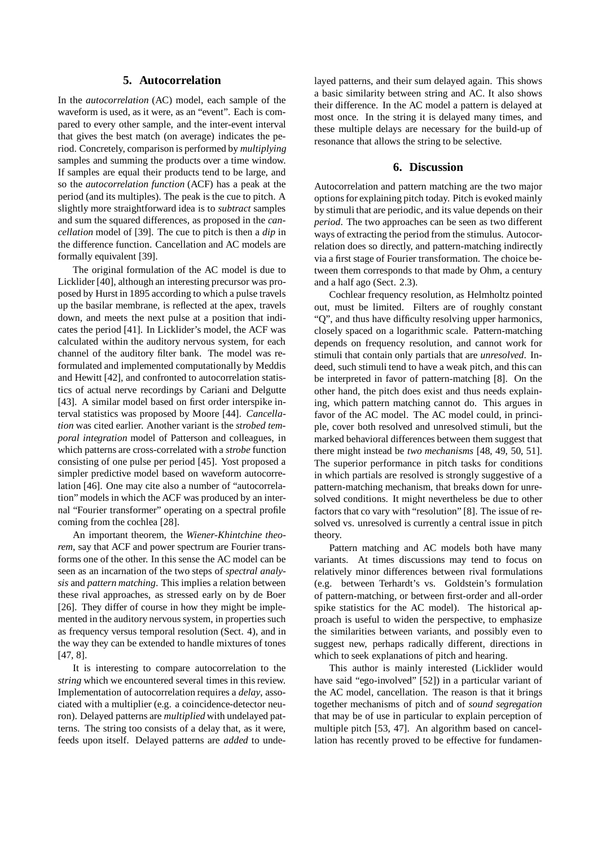### **5. Autocorrelation**

In the *autocorrelation* (AC) model, each sample of the waveform is used, as it were, as an "event". Each is compared to every other sample, and the inter-event interval that gives the best match (on average) indicates the period. Concretely, comparison is performed by *multiplying* samples and summing the products over a time window. If samples are equal their products tend to be large, and so the *autocorrelation function* (ACF) has a peak at the period (and its multiples). The peak is the cue to pitch. A slightly more straightforward idea is to *subtract* samples and sum the squared differences, as proposed in the *cancellation* model of [39]. The cue to pitch is then a *dip* in the difference function. Cancellation and AC models are formally equivalent [39].

The original formulation of the AC model is due to Licklider [40], although an interesting precursor was proposed by Hurst in 1895 according to which a pulse travels up the basilar membrane, is reflected at the apex, travels down, and meets the next pulse at a position that indicates the period [41]. In Licklider's model, the ACF was calculated within the auditory nervous system, for each channel of the auditory filter bank. The model was reformulated and implemented computationally by Meddis and Hewitt [42], and confronted to autocorrelation statistics of actual nerve recordings by Cariani and Delgutte [43]. A similar model based on first order interspike interval statistics was proposed by Moore [44]. *Cancellation* was cited earlier. Another variant is the *strobed temporal integration* model of Patterson and colleagues, in which patterns are cross-correlated with a *strobe* function consisting of one pulse per period [45]. Yost proposed a simpler predictive model based on waveform autocorrelation [46]. One may cite also a number of "autocorrelation" models in which the ACF was produced by an internal "Fourier transformer" operating on a spectral profile coming from the cochlea [28].

An important theorem, the *Wiener-Khintchine theorem*, say that ACF and power spectrum are Fourier transforms one of the other. In this sense the AC model can be seen as an incarnation of the two steps of *spectral analysis* and *pattern matching*. This implies a relation between these rival approaches, as stressed early on by de Boer [26]. They differ of course in how they might be implemented in the auditory nervous system, in properties such as frequency versus temporal resolution (Sect. 4), and in the way they can be extended to handle mixtures of tones [47, 8].

It is interesting to compare autocorrelation to the *string* which we encountered several times in this review. Implementation of autocorrelation requires a *delay*, associated with a multiplier (e.g. a coincidence-detector neuron). Delayed patterns are *multiplied* with undelayed patterns. The string too consists of a delay that, as it were, feeds upon itself. Delayed patterns are *added* to undelayed patterns, and their sum delayed again. This shows a basic similarity between string and AC. It also shows their difference. In the AC model a pattern is delayed at most once. In the string it is delayed many times, and these multiple delays are necessary for the build-up of resonance that allows the string to be selective.

### **6. Discussion**

Autocorrelation and pattern matching are the two major options for explaining pitch today. Pitch is evoked mainly by stimuli that are periodic, and its value depends on their *period*. The two approaches can be seen as two different ways of extracting the period from the stimulus. Autocorrelation does so directly, and pattern-matching indirectly via a first stage of Fourier transformation. The choice between them corresponds to that made by Ohm, a century and a half ago (Sect. 2.3).

Cochlear frequency resolution, as Helmholtz pointed out, must be limited. Filters are of roughly constant "Q", and thus have difficulty resolving upper harmonics, closely spaced on a logarithmic scale. Pattern-matching depends on frequency resolution, and cannot work for stimuli that contain only partials that are *unresolved*. Indeed, such stimuli tend to have a weak pitch, and this can be interpreted in favor of pattern-matching [8]. On the other hand, the pitch does exist and thus needs explaining, which pattern matching cannot do. This argues in favor of the AC model. The AC model could, in principle, cover both resolved and unresolved stimuli, but the marked behavioral differences between them suggest that there might instead be *two mechanisms* [48, 49, 50, 51]. The superior performance in pitch tasks for conditions in which partials are resolved is strongly suggestive of a pattern-matching mechanism, that breaks down for unresolved conditions. It might nevertheless be due to other factors that co vary with "resolution" [8]. The issue of resolved vs. unresolved is currently a central issue in pitch theory.

Pattern matching and AC models both have many variants. At times discussions may tend to focus on relatively minor differences between rival formulations (e.g. between Terhardt's vs. Goldstein's formulation of pattern-matching, or between first-order and all-order spike statistics for the AC model). The historical approach is useful to widen the perspective, to emphasize the similarities between variants, and possibly even to suggest new, perhaps radically different, directions in which to seek explanations of pitch and hearing.

This author is mainly interested (Licklider would have said "ego-involved" [52]) in a particular variant of the AC model, cancellation. The reason is that it brings together mechanisms of pitch and of *sound segregation* that may be of use in particular to explain perception of multiple pitch [53, 47]. An algorithm based on cancellation has recently proved to be effective for fundamen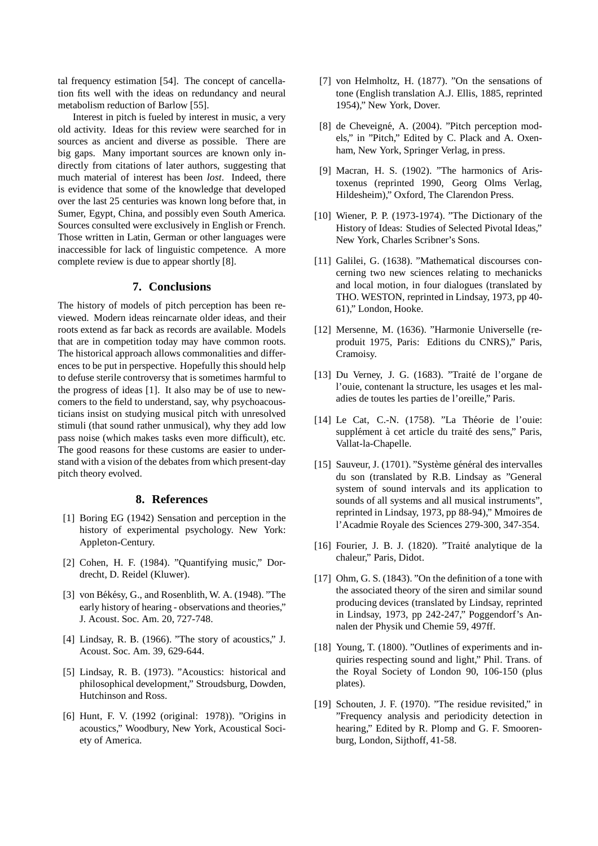tal frequency estimation [54]. The concept of cancellation fits well with the ideas on redundancy and neural metabolism reduction of Barlow [55].

Interest in pitch is fueled by interest in music, a very old activity. Ideas for this review were searched for in sources as ancient and diverse as possible. There are big gaps. Many important sources are known only indirectly from citations of later authors, suggesting that much material of interest has been *lost*. Indeed, there is evidence that some of the knowledge that developed over the last 25 centuries was known long before that, in Sumer, Egypt, China, and possibly even South America. Sources consulted were exclusively in English or French. Those written in Latin, German or other languages were inaccessible for lack of linguistic competence. A more complete review is due to appear shortly [8].

### **7. Conclusions**

The history of models of pitch perception has been reviewed. Modern ideas reincarnate older ideas, and their roots extend as far back as records are available. Models that are in competition today may have common roots. The historical approach allows commonalities and differences to be put in perspective. Hopefully this should help to defuse sterile controversy that is sometimes harmful to the progress of ideas [1]. It also may be of use to newcomers to the field to understand, say, why psychoacousticians insist on studying musical pitch with unresolved stimuli (that sound rather unmusical), why they add low pass noise (which makes tasks even more difficult), etc. The good reasons for these customs are easier to understand with a vision of the debates from which present-day pitch theory evolved.

# **8. References**

- [1] Boring EG (1942) Sensation and perception in the history of experimental psychology. New York: Appleton-Century.
- [2] Cohen, H. F. (1984). "Quantifying music," Dordrecht, D. Reidel (Kluwer).
- [3] von Békésy, G., and Rosenblith, W. A. (1948). "The early history of hearing - observations and theories," J. Acoust. Soc. Am. 20, 727-748.
- [4] Lindsay, R. B. (1966). "The story of acoustics," J. Acoust. Soc. Am. 39, 629-644.
- [5] Lindsay, R. B. (1973). "Acoustics: historical and philosophical development," Stroudsburg, Dowden, Hutchinson and Ross.
- [6] Hunt, F. V. (1992 (original: 1978)). "Origins in acoustics," Woodbury, New York, Acoustical Society of America.
- [7] von Helmholtz, H. (1877). "On the sensations of tone (English translation A.J. Ellis, 1885, reprinted 1954)," New York, Dover.
- [8] de Cheveigné, A. (2004). "Pitch perception models," in "Pitch," Edited by C. Plack and A. Oxenham, New York, Springer Verlag, in press.
- [9] Macran, H. S. (1902). "The harmonics of Aristoxenus (reprinted 1990, Georg Olms Verlag, Hildesheim)," Oxford, The Clarendon Press.
- [10] Wiener, P. P. (1973-1974). "The Dictionary of the History of Ideas: Studies of Selected Pivotal Ideas," New York, Charles Scribner's Sons.
- [11] Galilei, G. (1638). "Mathematical discourses concerning two new sciences relating to mechanicks and local motion, in four dialogues (translated by THO. WESTON, reprinted in Lindsay, 1973, pp 40- 61)," London, Hooke.
- [12] Mersenne, M. (1636). "Harmonie Universelle (reproduit 1975, Paris: Editions du CNRS)," Paris, Cramoisy.
- [13] Du Verney, J. G. (1683). "Traité de l'organe de l'ouie, contenant la structure, les usages et les maladies de toutes les parties de l'oreille," Paris.
- [14] Le Cat, C.-N. (1758). "La Théorie de l'ouie: supplément à cet article du traité des sens," Paris, Vallat-la-Chapelle.
- [15] Sauveur, J. (1701). "Système général des intervalles du son (translated by R.B. Lindsay as "General system of sound intervals and its application to sounds of all systems and all musical instruments", reprinted in Lindsay, 1973, pp 88-94)," Mmoires de l'Acadmie Royale des Sciences 279-300, 347-354.
- [16] Fourier, J. B. J. (1820). "Traité analytique de la chaleur," Paris, Didot.
- [17] Ohm, G. S. (1843). "On the definition of a tone with the associated theory of the siren and similar sound producing devices (translated by Lindsay, reprinted in Lindsay, 1973, pp 242-247," Poggendorf's Annalen der Physik und Chemie 59, 497ff.
- [18] Young, T. (1800). "Outlines of experiments and inquiries respecting sound and light," Phil. Trans. of the Royal Society of London 90, 106-150 (plus plates).
- [19] Schouten, J. F. (1970). "The residue revisited," in "Frequency analysis and periodicity detection in hearing," Edited by R. Plomp and G. F. Smoorenburg, London, Sijthoff, 41-58.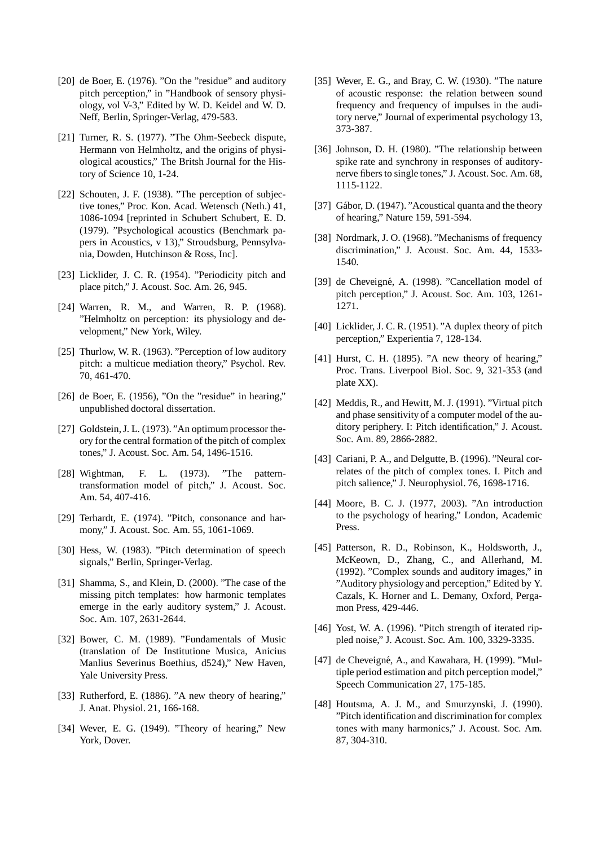- [20] de Boer, E. (1976). "On the "residue" and auditory pitch perception," in "Handbook of sensory physiology, vol V-3," Edited by W. D. Keidel and W. D. Neff, Berlin, Springer-Verlag, 479-583.
- [21] Turner, R. S. (1977). "The Ohm-Seebeck dispute, Hermann von Helmholtz, and the origins of physiological acoustics," The Britsh Journal for the History of Science 10, 1-24.
- [22] Schouten, J. F. (1938). "The perception of subjective tones," Proc. Kon. Acad. Wetensch (Neth.) 41, 1086-1094 [reprinted in Schubert Schubert, E. D. (1979). "Psychological acoustics (Benchmark papers in Acoustics, v 13)," Stroudsburg, Pennsylvania, Dowden, Hutchinson & Ross, Inc].
- [23] Licklider, J. C. R. (1954). "Periodicity pitch and place pitch," J. Acoust. Soc. Am. 26, 945.
- [24] Warren, R. M., and Warren, R. P. (1968). "Helmholtz on perception: its physiology and development," New York, Wiley.
- [25] Thurlow, W. R. (1963). "Perception of low auditory pitch: a multicue mediation theory," Psychol. Rev. 70, 461-470.
- [26] de Boer, E. (1956), "On the "residue" in hearing," unpublished doctoral dissertation.
- [27] Goldstein, J. L. (1973). "An optimum processor theory for the central formation of the pitch of complex tones," J. Acoust. Soc. Am. 54, 1496-1516.
- [28] Wightman, F. L. (1973). "The patterntransformation model of pitch," J. Acoust. Soc. Am. 54, 407-416.
- [29] Terhardt, E. (1974). "Pitch, consonance and harmony," J. Acoust. Soc. Am. 55, 1061-1069.
- [30] Hess, W. (1983). "Pitch determination of speech signals," Berlin, Springer-Verlag.
- [31] Shamma, S., and Klein, D. (2000). "The case of the missing pitch templates: how harmonic templates emerge in the early auditory system," J. Acoust. Soc. Am. 107, 2631-2644.
- [32] Bower, C. M. (1989). "Fundamentals of Music (translation of De Institutione Musica, Anicius Manlius Severinus Boethius, d524)," New Haven, Yale University Press.
- [33] Rutherford, E. (1886). "A new theory of hearing," J. Anat. Physiol. 21, 166-168.
- [34] Wever, E. G. (1949). "Theory of hearing," New York, Dover.
- [35] Wever, E. G., and Bray, C. W. (1930). "The nature of acoustic response: the relation between sound frequency and frequency of impulses in the auditory nerve," Journal of experimental psychology 13, 373-387.
- [36] Johnson, D. H. (1980). "The relationship between spike rate and synchrony in responses of auditorynerve fibers to single tones," J. Acoust. Soc. Am. 68, 1115-1122.
- [37] Gábor, D. (1947). "Acoustical quanta and the theory of hearing," Nature 159, 591-594.
- [38] Nordmark, J. O. (1968). "Mechanisms of frequency discrimination," J. Acoust. Soc. Am. 44, 1533- 1540.
- [39] de Cheveigné, A. (1998). "Cancellation model of pitch perception," J. Acoust. Soc. Am. 103, 1261- 1271.
- [40] Licklider, J. C. R. (1951). "A duplex theory of pitch perception," Experientia 7, 128-134.
- [41] Hurst, C. H. (1895). "A new theory of hearing," Proc. Trans. Liverpool Biol. Soc. 9, 321-353 (and plate XX).
- [42] Meddis, R., and Hewitt, M. J. (1991). "Virtual pitch and phase sensitivity of a computer model of the auditory periphery. I: Pitch identification," J. Acoust. Soc. Am. 89, 2866-2882.
- [43] Cariani, P. A., and Delgutte, B. (1996). "Neural correlates of the pitch of complex tones. I. Pitch and pitch salience," J. Neurophysiol. 76, 1698-1716.
- [44] Moore, B. C. J. (1977, 2003). "An introduction to the psychology of hearing," London, Academic Press.
- [45] Patterson, R. D., Robinson, K., Holdsworth, J., McKeown, D., Zhang, C., and Allerhand, M. (1992). "Complex sounds and auditory images," in "Auditory physiology and perception," Edited by Y. Cazals, K. Horner and L. Demany, Oxford, Pergamon Press, 429-446.
- [46] Yost, W. A. (1996). "Pitch strength of iterated rippled noise," J. Acoust. Soc. Am. 100, 3329-3335.
- [47] de Cheveigné, A., and Kawahara, H. (1999). "Multiple period estimation and pitch perception model," Speech Communication 27, 175-185.
- [48] Houtsma, A. J. M., and Smurzynski, J. (1990). "Pitch identification and discrimination for complex tones with many harmonics," J. Acoust. Soc. Am. 87, 304-310.